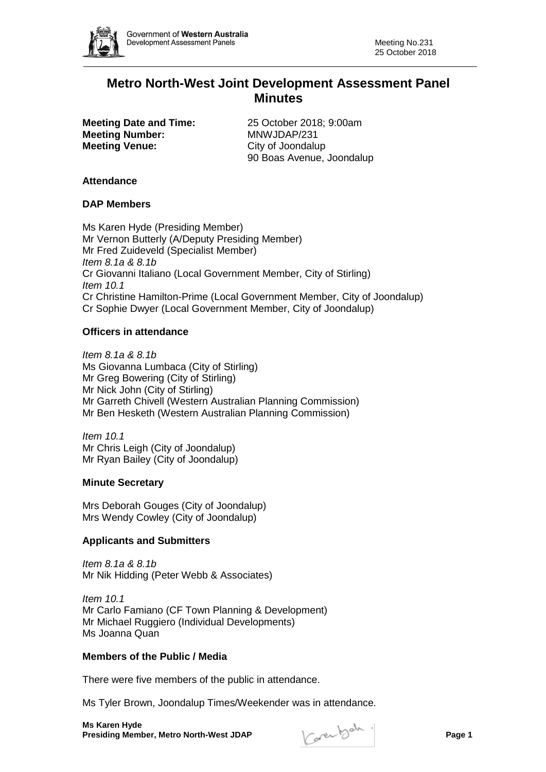

# **Metro North-West Joint Development Assessment Panel Minutes**

**Meeting Number:** MNWJDAP/231 **Meeting Venue:** City of Joondalup

**Meeting Date and Time:** 25 October 2018; 9:00am 90 Boas Avenue, Joondalup

## **Attendance**

## **DAP Members**

Ms Karen Hyde (Presiding Member) Mr Vernon Butterly (A/Deputy Presiding Member) Mr Fred Zuideveld (Specialist Member) *Item 8.1a & 8.1b* Cr Giovanni Italiano (Local Government Member, City of Stirling) *Item 10.1* Cr Christine Hamilton-Prime (Local Government Member, City of Joondalup) Cr Sophie Dwyer (Local Government Member, City of Joondalup)

## **Officers in attendance**

*Item 8.1a & 8.1b* Ms Giovanna Lumbaca (City of Stirling) Mr Greg Bowering (City of Stirling) Mr Nick John (City of Stirling) Mr Garreth Chivell (Western Australian Planning Commission) Mr Ben Hesketh (Western Australian Planning Commission)

*Item 10.1* Mr Chris Leigh (City of Joondalup) Mr Ryan Bailey (City of Joondalup)

## **Minute Secretary**

Mrs Deborah Gouges (City of Joondalup) Mrs Wendy Cowley (City of Joondalup)

## **Applicants and Submitters**

*Item 8.1a & 8.1b* Mr Nik Hidding (Peter Webb & Associates)

*Item 10.1* Mr Carlo Famiano (CF Town Planning & Development) Mr Michael Ruggiero (Individual Developments) Ms Joanna Quan

## **Members of the Public / Media**

There were five members of the public in attendance.

Ms Tyler Brown, Joondalup Times/Weekender was in attendance.

**Ms Karen Hyde Presiding Member, Metro North-West JDAP Page 1** 

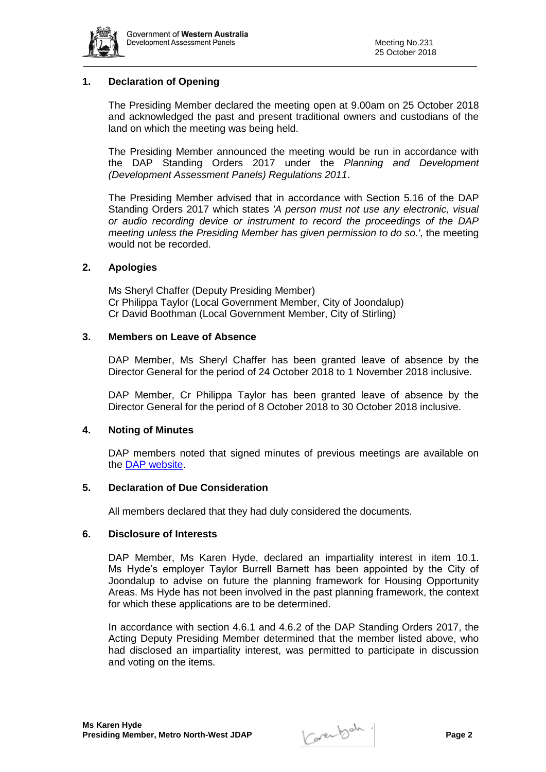

## **1. Declaration of Opening**

The Presiding Member declared the meeting open at 9.00am on 25 October 2018 and acknowledged the past and present traditional owners and custodians of the land on which the meeting was being held.

The Presiding Member announced the meeting would be run in accordance with the DAP Standing Orders 2017 under the *Planning and Development (Development Assessment Panels) Regulations 2011*.

The Presiding Member advised that in accordance with Section 5.16 of the DAP Standing Orders 2017 which states *'A person must not use any electronic, visual or audio recording device or instrument to record the proceedings of the DAP meeting unless the Presiding Member has given permission to do so.',* the meeting would not be recorded.

### **2. Apologies**

Ms Sheryl Chaffer (Deputy Presiding Member) Cr Philippa Taylor (Local Government Member, City of Joondalup) Cr David Boothman (Local Government Member, City of Stirling)

### **3. Members on Leave of Absence**

DAP Member, Ms Sheryl Chaffer has been granted leave of absence by the Director General for the period of 24 October 2018 to 1 November 2018 inclusive.

DAP Member, Cr Philippa Taylor has been granted leave of absence by the Director General for the period of 8 October 2018 to 30 October 2018 inclusive.

## **4. Noting of Minutes**

DAP members noted that signed minutes of previous meetings are available on the [DAP website.](https://www.planning.wa.gov.au/7578.aspx)

## **5. Declaration of Due Consideration**

All members declared that they had duly considered the documents.

#### **6. Disclosure of Interests**

DAP Member, Ms Karen Hyde, declared an impartiality interest in item 10.1. Ms Hyde's employer Taylor Burrell Barnett has been appointed by the City of Joondalup to advise on future the planning framework for Housing Opportunity Areas. Ms Hyde has not been involved in the past planning framework, the context for which these applications are to be determined.

In accordance with section 4.6.1 and 4.6.2 of the DAP Standing Orders 2017, the Acting Deputy Presiding Member determined that the member listed above, who had disclosed an impartiality interest, was permitted to participate in discussion and voting on the items.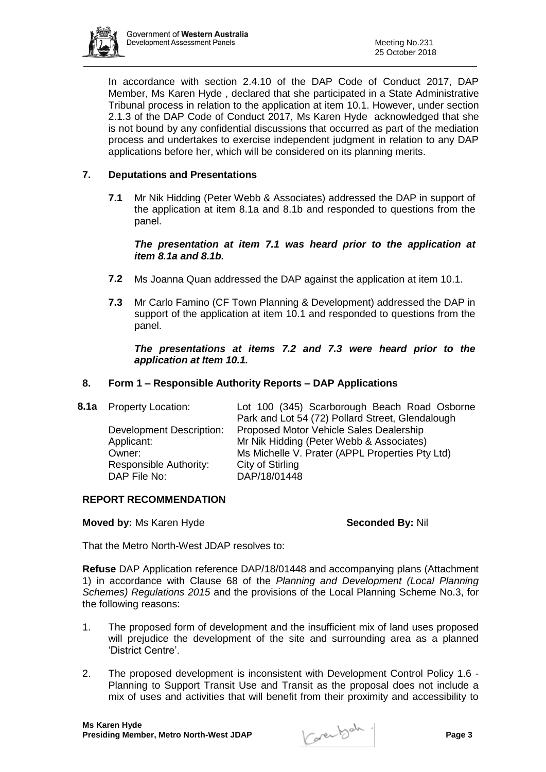

In accordance with section 2.4.10 of the DAP Code of Conduct 2017, DAP Member, Ms Karen Hyde , declared that she participated in a State Administrative Tribunal process in relation to the application at item 10.1. However, under section 2.1.3 of the DAP Code of Conduct 2017, Ms Karen Hyde acknowledged that she is not bound by any confidential discussions that occurred as part of the mediation process and undertakes to exercise independent judgment in relation to any DAP applications before her, which will be considered on its planning merits.

## **7. Deputations and Presentations**

**7.1** Mr Nik Hidding (Peter Webb & Associates) addressed the DAP in support of the application at item 8.1a and 8.1b and responded to questions from the panel.

## *The presentation at item 7.1 was heard prior to the application at item 8.1a and 8.1b.*

- **7.2** Ms Joanna Quan addressed the DAP against the application at item 10.1.
- **7.3** Mr Carlo Famino (CF Town Planning & Development) addressed the DAP in support of the application at item 10.1 and responded to questions from the panel.

## *The presentations at items 7.2 and 7.3 were heard prior to the application at Item 10.1.*

## **8. Form 1 – Responsible Authority Reports – DAP Applications**

**8.1a** Property Location: Lot 100 (345) Scarborough Beach Road Osborne

| :                        | $= 0.100$ (0.0) counterprisement section riced contents |
|--------------------------|---------------------------------------------------------|
|                          | Park and Lot 54 (72) Pollard Street, Glendalough        |
| Development Description: | Proposed Motor Vehicle Sales Dealership                 |
| Applicant:               | Mr Nik Hidding (Peter Webb & Associates)                |
| Owner:                   | Ms Michelle V. Prater (APPL Properties Pty Ltd)         |
| Responsible Authority:   | City of Stirling                                        |
| DAP File No:             | DAP/18/01448                                            |
|                          |                                                         |

## **REPORT RECOMMENDATION**

## **Moved by:** Ms Karen Hyde **Seconded By:** Nil

That the Metro North-West JDAP resolves to:

**Refuse** DAP Application reference DAP/18/01448 and accompanying plans (Attachment 1) in accordance with Clause 68 of the *Planning and Development (Local Planning Schemes) Regulations 2015* and the provisions of the Local Planning Scheme No.3, for the following reasons:

- 1. The proposed form of development and the insufficient mix of land uses proposed will prejudice the development of the site and surrounding area as a planned 'District Centre'.
- 2. The proposed development is inconsistent with Development Control Policy 1.6 Planning to Support Transit Use and Transit as the proposal does not include a mix of uses and activities that will benefit from their proximity and accessibility to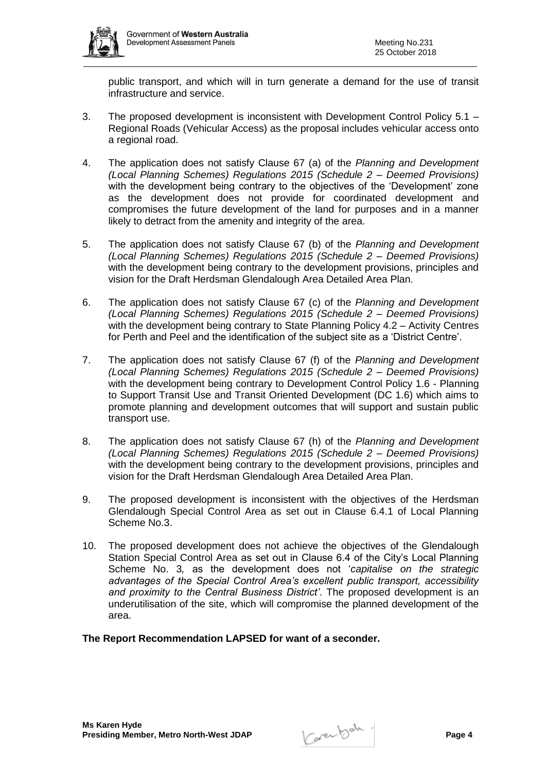

public transport, and which will in turn generate a demand for the use of transit infrastructure and service.

- 3. The proposed development is inconsistent with Development Control Policy 5.1 Regional Roads (Vehicular Access) as the proposal includes vehicular access onto a regional road.
- 4. The application does not satisfy Clause 67 (a) of the *Planning and Development (Local Planning Schemes) Regulations 2015 (Schedule 2 – Deemed Provisions)* with the development being contrary to the objectives of the 'Development' zone as the development does not provide for coordinated development and compromises the future development of the land for purposes and in a manner likely to detract from the amenity and integrity of the area.
- 5. The application does not satisfy Clause 67 (b) of the *Planning and Development (Local Planning Schemes) Regulations 2015 (Schedule 2 – Deemed Provisions)*  with the development being contrary to the development provisions, principles and vision for the Draft Herdsman Glendalough Area Detailed Area Plan.
- 6. The application does not satisfy Clause 67 (c) of the *Planning and Development (Local Planning Schemes) Regulations 2015 (Schedule 2 – Deemed Provisions)*  with the development being contrary to State Planning Policy 4.2 – Activity Centres for Perth and Peel and the identification of the subject site as a 'District Centre'.
- 7. The application does not satisfy Clause 67 (f) of the *Planning and Development (Local Planning Schemes) Regulations 2015 (Schedule 2 – Deemed Provisions)*  with the development being contrary to Development Control Policy 1.6 - Planning to Support Transit Use and Transit Oriented Development (DC 1.6) which aims to promote planning and development outcomes that will support and sustain public transport use.
- 8. The application does not satisfy Clause 67 (h) of the *Planning and Development (Local Planning Schemes) Regulations 2015 (Schedule 2 – Deemed Provisions)*  with the development being contrary to the development provisions, principles and vision for the Draft Herdsman Glendalough Area Detailed Area Plan.
- 9. The proposed development is inconsistent with the objectives of the Herdsman Glendalough Special Control Area as set out in Clause 6.4.1 of Local Planning Scheme No.3.
- 10. The proposed development does not achieve the objectives of the Glendalough Station Special Control Area as set out in Clause 6.4 of the City's Local Planning Scheme No. 3*,* as the development does not '*capitalise on the strategic advantages of the Special Control Area's excellent public transport, accessibility and proximity to the Central Business District'*. The proposed development is an underutilisation of the site, which will compromise the planned development of the area.

## **The Report Recommendation LAPSED for want of a seconder.**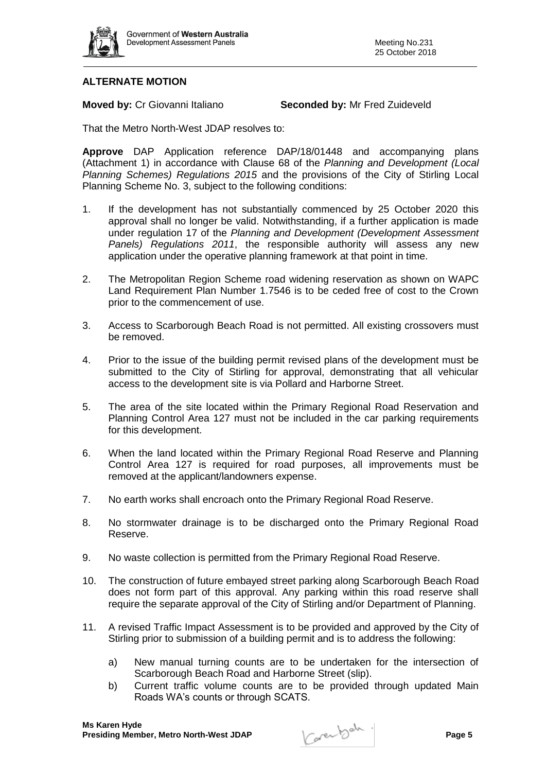

## **ALTERNATE MOTION**

**Moved by:** Cr Giovanni Italiano **Seconded by:** Mr Fred Zuideveld

That the Metro North-West JDAP resolves to:

**Approve** DAP Application reference DAP/18/01448 and accompanying plans (Attachment 1) in accordance with Clause 68 of the *Planning and Development (Local Planning Schemes) Regulations 2015* and the provisions of the City of Stirling Local Planning Scheme No. 3, subject to the following conditions:

- 1. If the development has not substantially commenced by 25 October 2020 this approval shall no longer be valid. Notwithstanding, if a further application is made under regulation 17 of the *Planning and Development (Development Assessment Panels) Regulations 2011*, the responsible authority will assess any new application under the operative planning framework at that point in time.
- 2. The Metropolitan Region Scheme road widening reservation as shown on WAPC Land Requirement Plan Number 1.7546 is to be ceded free of cost to the Crown prior to the commencement of use.
- 3. Access to Scarborough Beach Road is not permitted. All existing crossovers must be removed.
- 4. Prior to the issue of the building permit revised plans of the development must be submitted to the City of Stirling for approval, demonstrating that all vehicular access to the development site is via Pollard and Harborne Street.
- 5. The area of the site located within the Primary Regional Road Reservation and Planning Control Area 127 must not be included in the car parking requirements for this development.
- 6. When the land located within the Primary Regional Road Reserve and Planning Control Area 127 is required for road purposes, all improvements must be removed at the applicant/landowners expense.
- 7. No earth works shall encroach onto the Primary Regional Road Reserve.
- 8. No stormwater drainage is to be discharged onto the Primary Regional Road Reserve.
- 9. No waste collection is permitted from the Primary Regional Road Reserve.
- 10. The construction of future embayed street parking along Scarborough Beach Road does not form part of this approval. Any parking within this road reserve shall require the separate approval of the City of Stirling and/or Department of Planning.
- 11. A revised Traffic Impact Assessment is to be provided and approved by the City of Stirling prior to submission of a building permit and is to address the following:
	- a) New manual turning counts are to be undertaken for the intersection of Scarborough Beach Road and Harborne Street (slip).
	- b) Current traffic volume counts are to be provided through updated Main Roads WA's counts or through SCATS.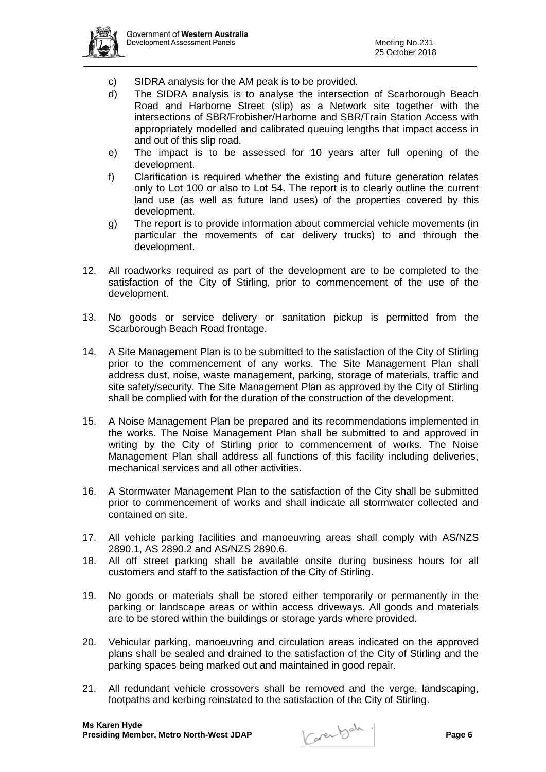

- c) SIDRA analysis for the AM peak is to be provided.
- d) The SIDRA analysis is to analyse the intersection of Scarborough Beach Road and Harborne Street (slip) as a Network site together with the intersections of SBR/Frobisher/Harborne and SBR/Train Station Access with appropriately modelled and calibrated queuing lengths that impact access in and out of this slip road.
- e) The impact is to be assessed for 10 years after full opening of the development.
- f) Clarification is required whether the existing and future generation relates only to Lot 100 or also to Lot 54. The report is to clearly outline the current land use (as well as future land uses) of the properties covered by this development.
- g) The report is to provide information about commercial vehicle movements (in particular the movements of car delivery trucks) to and through the development.
- 12. All roadworks required as part of the development are to be completed to the satisfaction of the City of Stirling, prior to commencement of the use of the development.
- 13. No goods or service delivery or sanitation pickup is permitted from the Scarborough Beach Road frontage.
- 14. A Site Management Plan is to be submitted to the satisfaction of the City of Stirling prior to the commencement of any works. The Site Management Plan shall address dust, noise, waste management, parking, storage of materials, traffic and site safety/security. The Site Management Plan as approved by the City of Stirling shall be complied with for the duration of the construction of the development.
- 15. A Noise Management Plan be prepared and its recommendations implemented in the works. The Noise Management Plan shall be submitted to and approved in writing by the City of Stirling prior to commencement of works. The Noise Management Plan shall address all functions of this facility including deliveries, mechanical services and all other activities.
- 16. A Stormwater Management Plan to the satisfaction of the City shall be submitted prior to commencement of works and shall indicate all stormwater collected and contained on site.
- 17. All vehicle parking facilities and manoeuvring areas shall comply with AS/NZS 2890.1, AS 2890.2 and AS/NZS 2890.6.
- 18. All off street parking shall be available onsite during business hours for all customers and staff to the satisfaction of the City of Stirling.
- 19. No goods or materials shall be stored either temporarily or permanently in the parking or landscape areas or within access driveways. All goods and materials are to be stored within the buildings or storage yards where provided.
- 20. Vehicular parking, manoeuvring and circulation areas indicated on the approved plans shall be sealed and drained to the satisfaction of the City of Stirling and the parking spaces being marked out and maintained in good repair.
- 21. All redundant vehicle crossovers shall be removed and the verge, landscaping, footpaths and kerbing reinstated to the satisfaction of the City of Stirling.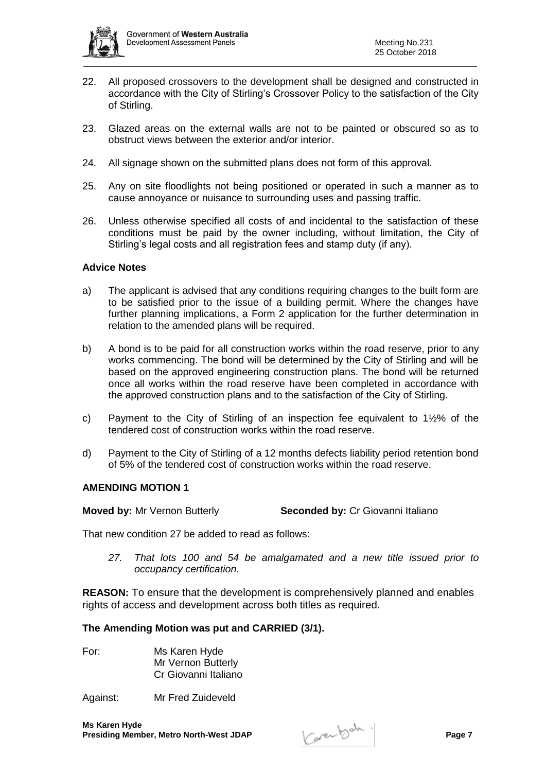

- 22. All proposed crossovers to the development shall be designed and constructed in accordance with the City of Stirling's Crossover Policy to the satisfaction of the City of Stirling.
- 23. Glazed areas on the external walls are not to be painted or obscured so as to obstruct views between the exterior and/or interior.
- 24. All signage shown on the submitted plans does not form of this approval.
- 25. Any on site floodlights not being positioned or operated in such a manner as to cause annoyance or nuisance to surrounding uses and passing traffic.
- 26. Unless otherwise specified all costs of and incidental to the satisfaction of these conditions must be paid by the owner including, without limitation, the City of Stirling's legal costs and all registration fees and stamp duty (if any).

#### **Advice Notes**

- a) The applicant is advised that any conditions requiring changes to the built form are to be satisfied prior to the issue of a building permit. Where the changes have further planning implications, a Form 2 application for the further determination in relation to the amended plans will be required.
- b) A bond is to be paid for all construction works within the road reserve, prior to any works commencing. The bond will be determined by the City of Stirling and will be based on the approved engineering construction plans. The bond will be returned once all works within the road reserve have been completed in accordance with the approved construction plans and to the satisfaction of the City of Stirling.
- c) Payment to the City of Stirling of an inspection fee equivalent to  $1\frac{1}{2}\%$  of the tendered cost of construction works within the road reserve.
- d) Payment to the City of Stirling of a 12 months defects liability period retention bond of 5% of the tendered cost of construction works within the road reserve.

#### **AMENDING MOTION 1**

**Moved by:** Mr Vernon Butterly **Seconded by:** Cr Giovanni Italiano

That new condition 27 be added to read as follows:

*27. That lots 100 and 54 be amalgamated and a new title issued prior to occupancy certification.* 

**REASON:** To ensure that the development is comprehensively planned and enables rights of access and development across both titles as required.

#### **The Amending Motion was put and CARRIED (3/1).**

For: Ms Karen Hyde Mr Vernon Butterly Cr Giovanni Italiano

Against: Mr Fred Zuideveld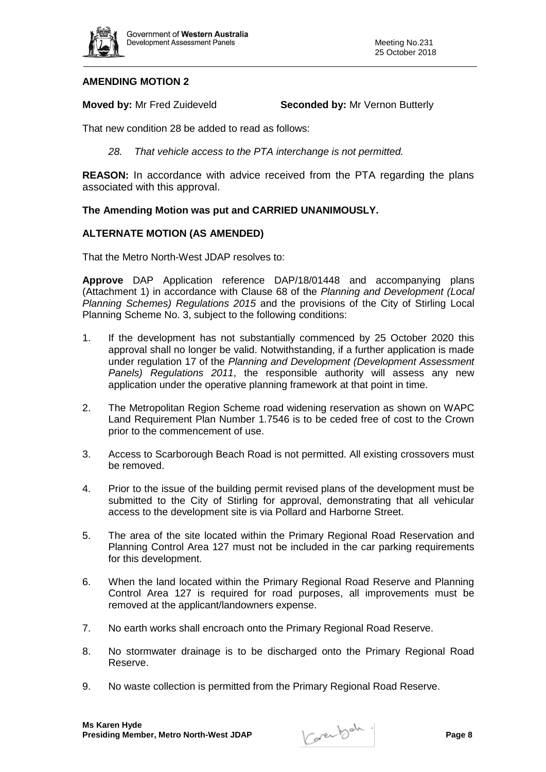

## **AMENDING MOTION 2**

**Moved by:** Mr Fred Zuideveld **Seconded by:** Mr Vernon Butterly

That new condition 28 be added to read as follows:

*28. That vehicle access to the PTA interchange is not permitted.* 

**REASON:** In accordance with advice received from the PTA regarding the plans associated with this approval.

## **The Amending Motion was put and CARRIED UNANIMOUSLY.**

### **ALTERNATE MOTION (AS AMENDED)**

That the Metro North-West JDAP resolves to:

**Approve** DAP Application reference DAP/18/01448 and accompanying plans (Attachment 1) in accordance with Clause 68 of the *Planning and Development (Local Planning Schemes) Regulations 2015* and the provisions of the City of Stirling Local Planning Scheme No. 3, subject to the following conditions:

- 1. If the development has not substantially commenced by 25 October 2020 this approval shall no longer be valid. Notwithstanding, if a further application is made under regulation 17 of the *Planning and Development (Development Assessment Panels) Regulations 2011*, the responsible authority will assess any new application under the operative planning framework at that point in time.
- 2. The Metropolitan Region Scheme road widening reservation as shown on WAPC Land Requirement Plan Number 1.7546 is to be ceded free of cost to the Crown prior to the commencement of use.
- 3. Access to Scarborough Beach Road is not permitted. All existing crossovers must be removed.
- 4. Prior to the issue of the building permit revised plans of the development must be submitted to the City of Stirling for approval, demonstrating that all vehicular access to the development site is via Pollard and Harborne Street.
- 5. The area of the site located within the Primary Regional Road Reservation and Planning Control Area 127 must not be included in the car parking requirements for this development.
- 6. When the land located within the Primary Regional Road Reserve and Planning Control Area 127 is required for road purposes, all improvements must be removed at the applicant/landowners expense.
- 7. No earth works shall encroach onto the Primary Regional Road Reserve.
- 8. No stormwater drainage is to be discharged onto the Primary Regional Road Reserve.
- 9. No waste collection is permitted from the Primary Regional Road Reserve.

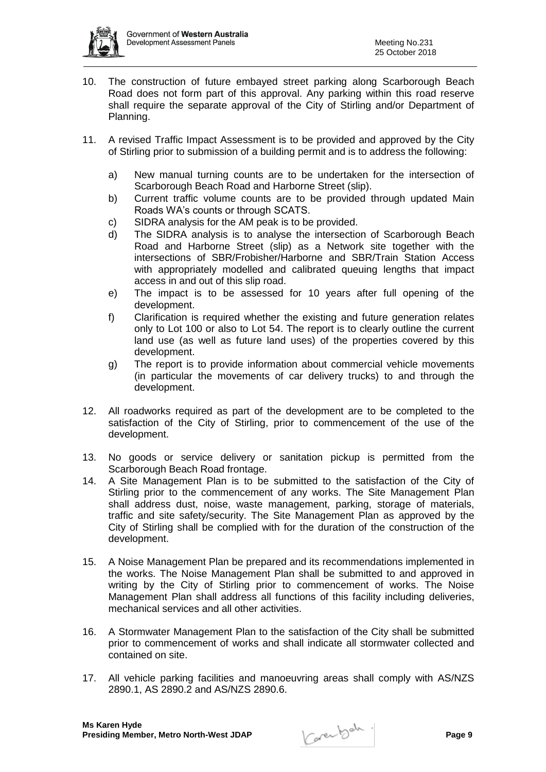

- 10. The construction of future embayed street parking along Scarborough Beach Road does not form part of this approval. Any parking within this road reserve shall require the separate approval of the City of Stirling and/or Department of Planning.
- 11. A revised Traffic Impact Assessment is to be provided and approved by the City of Stirling prior to submission of a building permit and is to address the following:
	- a) New manual turning counts are to be undertaken for the intersection of Scarborough Beach Road and Harborne Street (slip).
	- b) Current traffic volume counts are to be provided through updated Main Roads WA's counts or through SCATS.
	- c) SIDRA analysis for the AM peak is to be provided.
	- d) The SIDRA analysis is to analyse the intersection of Scarborough Beach Road and Harborne Street (slip) as a Network site together with the intersections of SBR/Frobisher/Harborne and SBR/Train Station Access with appropriately modelled and calibrated queuing lengths that impact access in and out of this slip road.
	- e) The impact is to be assessed for 10 years after full opening of the development.
	- f) Clarification is required whether the existing and future generation relates only to Lot 100 or also to Lot 54. The report is to clearly outline the current land use (as well as future land uses) of the properties covered by this development.
	- g) The report is to provide information about commercial vehicle movements (in particular the movements of car delivery trucks) to and through the development.
- 12. All roadworks required as part of the development are to be completed to the satisfaction of the City of Stirling, prior to commencement of the use of the development.
- 13. No goods or service delivery or sanitation pickup is permitted from the Scarborough Beach Road frontage.
- 14. A Site Management Plan is to be submitted to the satisfaction of the City of Stirling prior to the commencement of any works. The Site Management Plan shall address dust, noise, waste management, parking, storage of materials, traffic and site safety/security. The Site Management Plan as approved by the City of Stirling shall be complied with for the duration of the construction of the development.
- 15. A Noise Management Plan be prepared and its recommendations implemented in the works. The Noise Management Plan shall be submitted to and approved in writing by the City of Stirling prior to commencement of works. The Noise Management Plan shall address all functions of this facility including deliveries, mechanical services and all other activities.
- 16. A Stormwater Management Plan to the satisfaction of the City shall be submitted prior to commencement of works and shall indicate all stormwater collected and contained on site.
- 17. All vehicle parking facilities and manoeuvring areas shall comply with AS/NZS 2890.1, AS 2890.2 and AS/NZS 2890.6.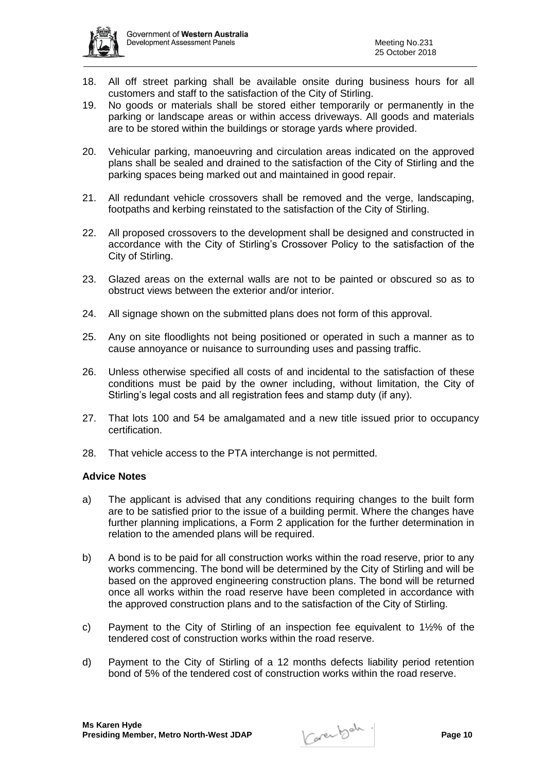

- 18. All off street parking shall be available onsite during business hours for all customers and staff to the satisfaction of the City of Stirling.
- 19. No goods or materials shall be stored either temporarily or permanently in the parking or landscape areas or within access driveways. All goods and materials are to be stored within the buildings or storage yards where provided.
- 20. Vehicular parking, manoeuvring and circulation areas indicated on the approved plans shall be sealed and drained to the satisfaction of the City of Stirling and the parking spaces being marked out and maintained in good repair.
- 21. All redundant vehicle crossovers shall be removed and the verge, landscaping, footpaths and kerbing reinstated to the satisfaction of the City of Stirling.
- 22. All proposed crossovers to the development shall be designed and constructed in accordance with the City of Stirling's Crossover Policy to the satisfaction of the City of Stirling.
- 23. Glazed areas on the external walls are not to be painted or obscured so as to obstruct views between the exterior and/or interior.
- 24. All signage shown on the submitted plans does not form of this approval.
- 25. Any on site floodlights not being positioned or operated in such a manner as to cause annoyance or nuisance to surrounding uses and passing traffic.
- 26. Unless otherwise specified all costs of and incidental to the satisfaction of these conditions must be paid by the owner including, without limitation, the City of Stirling's legal costs and all registration fees and stamp duty (if any).
- 27. That lots 100 and 54 be amalgamated and a new title issued prior to occupancy certification.
- 28. That vehicle access to the PTA interchange is not permitted.

#### **Advice Notes**

- a) The applicant is advised that any conditions requiring changes to the built form are to be satisfied prior to the issue of a building permit. Where the changes have further planning implications, a Form 2 application for the further determination in relation to the amended plans will be required.
- b) A bond is to be paid for all construction works within the road reserve, prior to any works commencing. The bond will be determined by the City of Stirling and will be based on the approved engineering construction plans. The bond will be returned once all works within the road reserve have been completed in accordance with the approved construction plans and to the satisfaction of the City of Stirling.
- c) Payment to the City of Stirling of an inspection fee equivalent to  $1\frac{1}{2}\%$  of the tendered cost of construction works within the road reserve.
- d) Payment to the City of Stirling of a 12 months defects liability period retention bond of 5% of the tendered cost of construction works within the road reserve.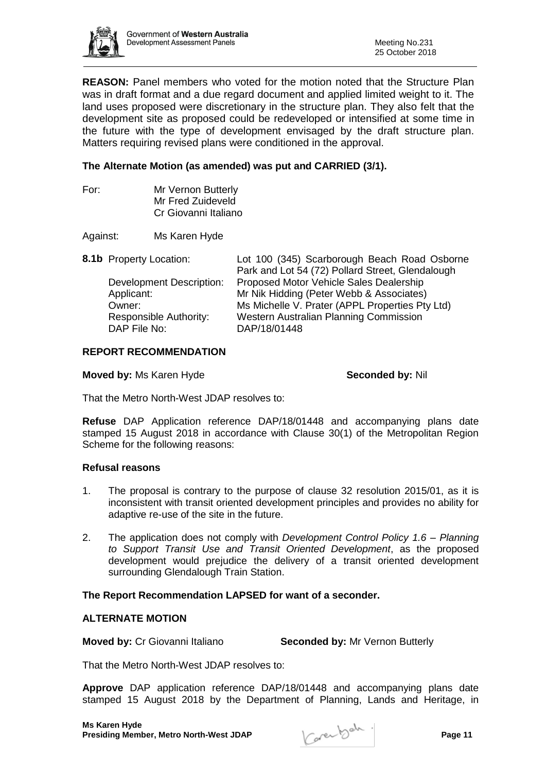

**REASON:** Panel members who voted for the motion noted that the Structure Plan was in draft format and a due regard document and applied limited weight to it. The land uses proposed were discretionary in the structure plan. They also felt that the development site as proposed could be redeveloped or intensified at some time in the future with the type of development envisaged by the draft structure plan. Matters requiring revised plans were conditioned in the approval.

## **The Alternate Motion (as amended) was put and CARRIED (3/1).**

For: Mr Vernon Butterly Mr Fred Zuideveld Cr Giovanni Italiano

Against: Ms Karen Hyde

**8.1b** Property Location: Lot 100 (345) Scarborough Beach Road Osborne

| Park and Lot 54 (72) Pollard Street, Glendalough |
|--------------------------------------------------|
| Proposed Motor Vehicle Sales Dealership          |
| Mr Nik Hidding (Peter Webb & Associates)         |
| Ms Michelle V. Prater (APPL Properties Pty Ltd)  |
| Western Australian Planning Commission           |
| DAP/18/01448                                     |
|                                                  |

## **REPORT RECOMMENDATION**

**Moved by:** Ms Karen Hyde **Seconded by:** Nil

That the Metro North-West JDAP resolves to:

**Refuse** DAP Application reference DAP/18/01448 and accompanying plans date stamped 15 August 2018 in accordance with Clause 30(1) of the Metropolitan Region Scheme for the following reasons:

## **Refusal reasons**

- 1. The proposal is contrary to the purpose of clause 32 resolution 2015/01, as it is inconsistent with transit oriented development principles and provides no ability for adaptive re-use of the site in the future.
- 2. The application does not comply with *Development Control Policy 1.6 – Planning to Support Transit Use and Transit Oriented Development*, as the proposed development would prejudice the delivery of a transit oriented development surrounding Glendalough Train Station.

## **The Report Recommendation LAPSED for want of a seconder.**

## **ALTERNATE MOTION**

**Moved by:** Cr Giovanni Italiano **Seconded by:** Mr Vernon Butterly

That the Metro North-West JDAP resolves to:

**Approve** DAP application reference DAP/18/01448 and accompanying plans date stamped 15 August 2018 by the Department of Planning, Lands and Heritage, in

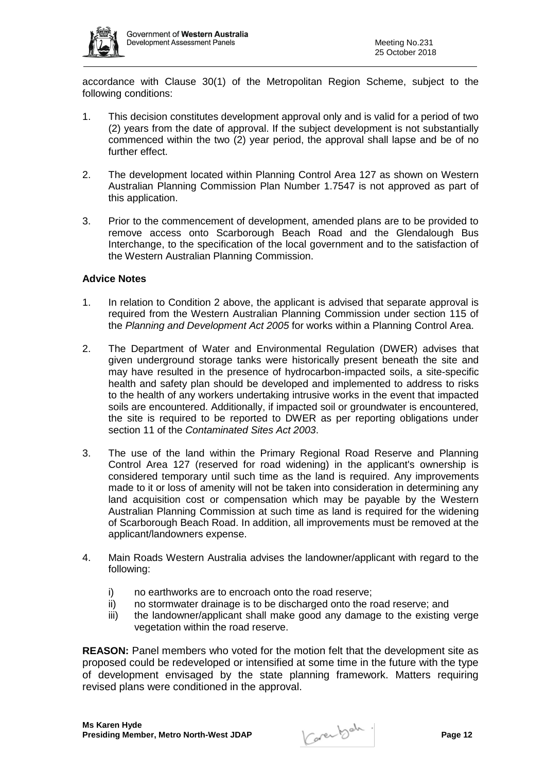

accordance with Clause 30(1) of the Metropolitan Region Scheme, subject to the following conditions:

- 1. This decision constitutes development approval only and is valid for a period of two (2) years from the date of approval. If the subject development is not substantially commenced within the two (2) year period, the approval shall lapse and be of no further effect.
- 2. The development located within Planning Control Area 127 as shown on Western Australian Planning Commission Plan Number 1.7547 is not approved as part of this application.
- 3. Prior to the commencement of development, amended plans are to be provided to remove access onto Scarborough Beach Road and the Glendalough Bus Interchange, to the specification of the local government and to the satisfaction of the Western Australian Planning Commission.

## **Advice Notes**

- 1. In relation to Condition 2 above, the applicant is advised that separate approval is required from the Western Australian Planning Commission under section 115 of the *Planning and Development Act 2005* for works within a Planning Control Area.
- 2. The Department of Water and Environmental Regulation (DWER) advises that given underground storage tanks were historically present beneath the site and may have resulted in the presence of hydrocarbon-impacted soils, a site-specific health and safety plan should be developed and implemented to address to risks to the health of any workers undertaking intrusive works in the event that impacted soils are encountered. Additionally, if impacted soil or groundwater is encountered, the site is required to be reported to DWER as per reporting obligations under section 11 of the *Contaminated Sites Act 2003*.
- 3. The use of the land within the Primary Regional Road Reserve and Planning Control Area 127 (reserved for road widening) in the applicant's ownership is considered temporary until such time as the land is required. Any improvements made to it or loss of amenity will not be taken into consideration in determining any land acquisition cost or compensation which may be payable by the Western Australian Planning Commission at such time as land is required for the widening of Scarborough Beach Road. In addition, all improvements must be removed at the applicant/landowners expense.
- 4. Main Roads Western Australia advises the landowner/applicant with regard to the following:
	- i) no earthworks are to encroach onto the road reserve;
	- ii) no stormwater drainage is to be discharged onto the road reserve; and
	- iii) the landowner/applicant shall make good any damage to the existing verge vegetation within the road reserve.

**REASON:** Panel members who voted for the motion felt that the development site as proposed could be redeveloped or intensified at some time in the future with the type of development envisaged by the state planning framework. Matters requiring revised plans were conditioned in the approval.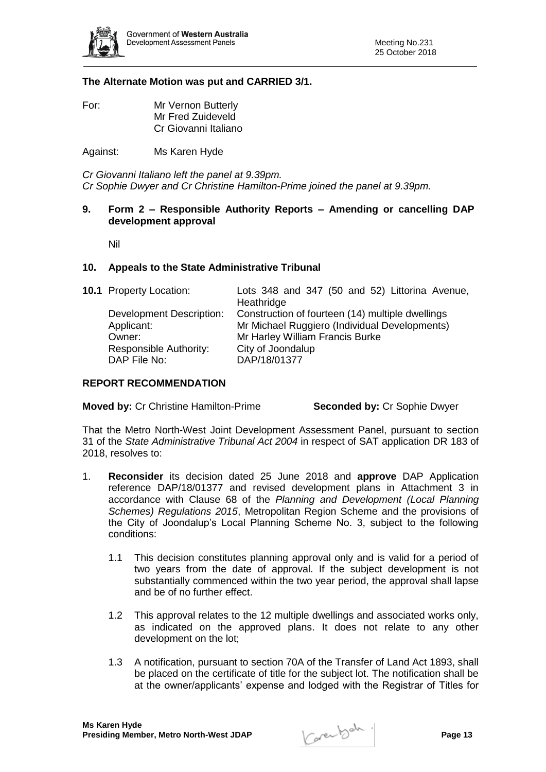

## **The Alternate Motion was put and CARRIED 3/1.**

For: Mr Vernon Butterly Mr Fred Zuideveld Cr Giovanni Italiano

Against: Ms Karen Hyde

*Cr Giovanni Italiano left the panel at 9.39pm. Cr Sophie Dwyer and Cr Christine Hamilton-Prime joined the panel at 9.39pm.*

### **9. Form 2 – Responsible Authority Reports – Amending or cancelling DAP development approval**

Nil

#### **10. Appeals to the State Administrative Tribunal**

| <b>10.1</b> Property Location:                                                                    | Lots 348 and 347 (50 and 52) Littorina Avenue,<br>Heathridge                                                                                                              |
|---------------------------------------------------------------------------------------------------|---------------------------------------------------------------------------------------------------------------------------------------------------------------------------|
| <b>Development Description:</b><br>Applicant:<br>Owner:<br>Responsible Authority:<br>DAP File No: | Construction of fourteen (14) multiple dwellings<br>Mr Michael Ruggiero (Individual Developments)<br>Mr Harley William Francis Burke<br>City of Joondalup<br>DAP/18/01377 |

#### **REPORT RECOMMENDATION**

**Moved by:** Cr Christine Hamilton-Prime **Seconded by:** Cr Sophie Dwyer

That the Metro North-West Joint Development Assessment Panel, pursuant to section 31 of the *State Administrative Tribunal Act 2004* in respect of SAT application DR 183 of 2018, resolves to:

- 1. **Reconsider** its decision dated 25 June 2018 and **approve** DAP Application reference DAP/18/01377 and revised development plans in Attachment 3 in accordance with Clause 68 of the *Planning and Development (Local Planning Schemes) Regulations 2015*, Metropolitan Region Scheme and the provisions of the City of Joondalup's Local Planning Scheme No. 3, subject to the following conditions:
	- 1.1 This decision constitutes planning approval only and is valid for a period of two years from the date of approval. If the subject development is not substantially commenced within the two year period, the approval shall lapse and be of no further effect.
	- 1.2 This approval relates to the 12 multiple dwellings and associated works only, as indicated on the approved plans. It does not relate to any other development on the lot;
	- 1.3 A notification, pursuant to section 70A of the Transfer of Land Act 1893, shall be placed on the certificate of title for the subject lot. The notification shall be at the owner/applicants' expense and lodged with the Registrar of Titles for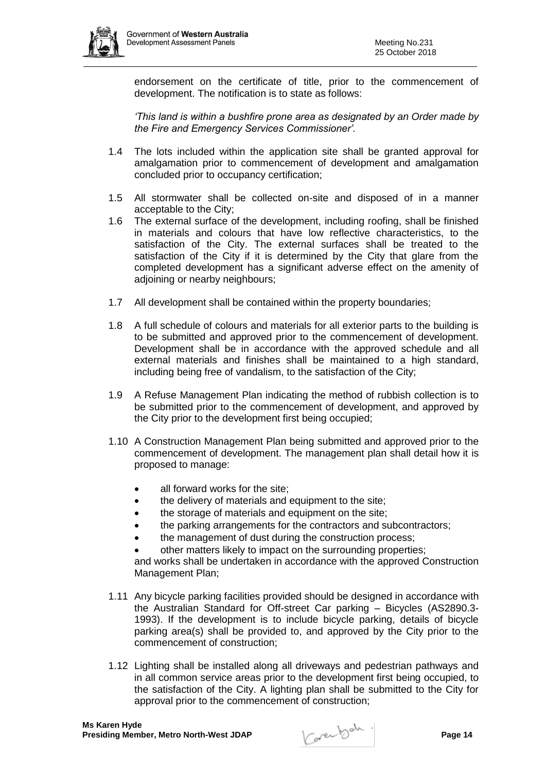

endorsement on the certificate of title, prior to the commencement of development. The notification is to state as follows:

*'This land is within a bushfire prone area as designated by an Order made by the Fire and Emergency Services Commissioner'.*

- 1.4 The lots included within the application site shall be granted approval for amalgamation prior to commencement of development and amalgamation concluded prior to occupancy certification;
- 1.5 All stormwater shall be collected on-site and disposed of in a manner acceptable to the City;
- 1.6 The external surface of the development, including roofing, shall be finished in materials and colours that have low reflective characteristics, to the satisfaction of the City. The external surfaces shall be treated to the satisfaction of the City if it is determined by the City that glare from the completed development has a significant adverse effect on the amenity of adjoining or nearby neighbours;
- 1.7 All development shall be contained within the property boundaries;
- 1.8 A full schedule of colours and materials for all exterior parts to the building is to be submitted and approved prior to the commencement of development. Development shall be in accordance with the approved schedule and all external materials and finishes shall be maintained to a high standard, including being free of vandalism, to the satisfaction of the City;
- 1.9 A Refuse Management Plan indicating the method of rubbish collection is to be submitted prior to the commencement of development, and approved by the City prior to the development first being occupied;
- 1.10 A Construction Management Plan being submitted and approved prior to the commencement of development. The management plan shall detail how it is proposed to manage:
	- all forward works for the site;
	- the delivery of materials and equipment to the site;
	- the storage of materials and equipment on the site;
	- the parking arrangements for the contractors and subcontractors;
	- the management of dust during the construction process;
	- other matters likely to impact on the surrounding properties;

and works shall be undertaken in accordance with the approved Construction Management Plan;

- 1.11 Any bicycle parking facilities provided should be designed in accordance with the Australian Standard for Off-street Car parking – Bicycles (AS2890.3- 1993). If the development is to include bicycle parking, details of bicycle parking area(s) shall be provided to, and approved by the City prior to the commencement of construction;
- 1.12 Lighting shall be installed along all driveways and pedestrian pathways and in all common service areas prior to the development first being occupied, to the satisfaction of the City. A lighting plan shall be submitted to the City for approval prior to the commencement of construction;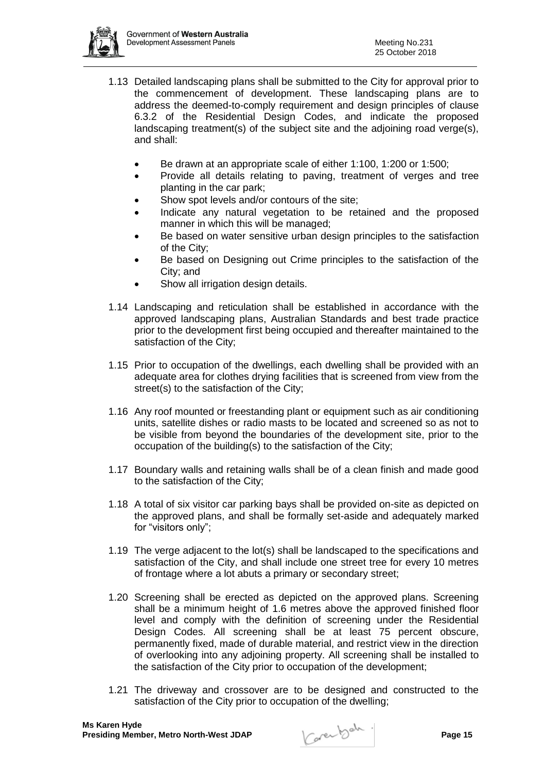

- 1.13 Detailed landscaping plans shall be submitted to the City for approval prior to the commencement of development. These landscaping plans are to address the deemed-to-comply requirement and design principles of clause 6.3.2 of the Residential Design Codes, and indicate the proposed landscaping treatment(s) of the subject site and the adjoining road verge(s), and shall:
	- Be drawn at an appropriate scale of either 1:100, 1:200 or 1:500;
	- Provide all details relating to paving, treatment of verges and tree planting in the car park;
	- Show spot levels and/or contours of the site;
	- Indicate any natural vegetation to be retained and the proposed manner in which this will be managed;
	- Be based on water sensitive urban design principles to the satisfaction of the City;
	- Be based on Designing out Crime principles to the satisfaction of the City; and
	- Show all irrigation design details.
- 1.14 Landscaping and reticulation shall be established in accordance with the approved landscaping plans, Australian Standards and best trade practice prior to the development first being occupied and thereafter maintained to the satisfaction of the City;
- 1.15 Prior to occupation of the dwellings, each dwelling shall be provided with an adequate area for clothes drying facilities that is screened from view from the street(s) to the satisfaction of the City;
- 1.16 Any roof mounted or freestanding plant or equipment such as air conditioning units, satellite dishes or radio masts to be located and screened so as not to be visible from beyond the boundaries of the development site, prior to the occupation of the building(s) to the satisfaction of the City;
- 1.17 Boundary walls and retaining walls shall be of a clean finish and made good to the satisfaction of the City;
- 1.18 A total of six visitor car parking bays shall be provided on-site as depicted on the approved plans, and shall be formally set-aside and adequately marked for "visitors only";
- 1.19 The verge adjacent to the lot(s) shall be landscaped to the specifications and satisfaction of the City, and shall include one street tree for every 10 metres of frontage where a lot abuts a primary or secondary street;
- 1.20 Screening shall be erected as depicted on the approved plans. Screening shall be a minimum height of 1.6 metres above the approved finished floor level and comply with the definition of screening under the Residential Design Codes. All screening shall be at least 75 percent obscure, permanently fixed, made of durable material, and restrict view in the direction of overlooking into any adjoining property. All screening shall be installed to the satisfaction of the City prior to occupation of the development;
- 1.21 The driveway and crossover are to be designed and constructed to the satisfaction of the City prior to occupation of the dwelling;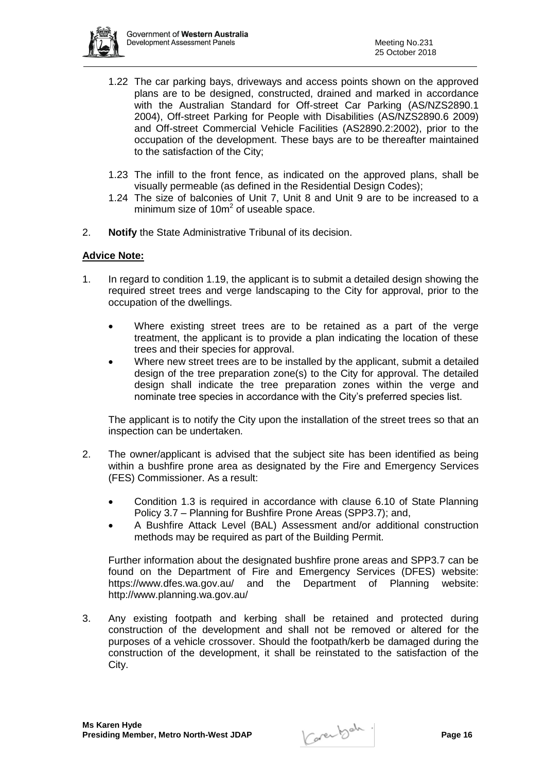

- 1.22 The car parking bays, driveways and access points shown on the approved plans are to be designed, constructed, drained and marked in accordance with the Australian Standard for Off-street Car Parking (AS/NZS2890.1 2004), Off-street Parking for People with Disabilities (AS/NZS2890.6 2009) and Off-street Commercial Vehicle Facilities (AS2890.2:2002), prior to the occupation of the development. These bays are to be thereafter maintained to the satisfaction of the City;
- 1.23 The infill to the front fence, as indicated on the approved plans, shall be visually permeable (as defined in the Residential Design Codes);
- 1.24 The size of balconies of Unit 7, Unit 8 and Unit 9 are to be increased to a minimum size of  $10m^2$  of useable space.
- 2. **Notify** the State Administrative Tribunal of its decision.

## **Advice Note:**

- 1. In regard to condition 1.19, the applicant is to submit a detailed design showing the required street trees and verge landscaping to the City for approval, prior to the occupation of the dwellings.
	- Where existing street trees are to be retained as a part of the verge treatment, the applicant is to provide a plan indicating the location of these trees and their species for approval.
	- Where new street trees are to be installed by the applicant, submit a detailed design of the tree preparation zone(s) to the City for approval. The detailed design shall indicate the tree preparation zones within the verge and nominate tree species in accordance with the City's preferred species list.

The applicant is to notify the City upon the installation of the street trees so that an inspection can be undertaken.

- 2. The owner/applicant is advised that the subject site has been identified as being within a bushfire prone area as designated by the Fire and Emergency Services (FES) Commissioner. As a result:
	- Condition 1.3 is required in accordance with clause 6.10 of State Planning Policy 3.7 – Planning for Bushfire Prone Areas (SPP3.7); and,
	- A Bushfire Attack Level (BAL) Assessment and/or additional construction methods may be required as part of the Building Permit.

Further information about the designated bushfire prone areas and SPP3.7 can be found on the Department of Fire and Emergency Services (DFES) website: <https://www.dfes.wa.gov.au/> and the Department of Planning website: <http://www.planning.wa.gov.au/>

3. Any existing footpath and kerbing shall be retained and protected during construction of the development and shall not be removed or altered for the purposes of a vehicle crossover. Should the footpath/kerb be damaged during the construction of the development, it shall be reinstated to the satisfaction of the City.